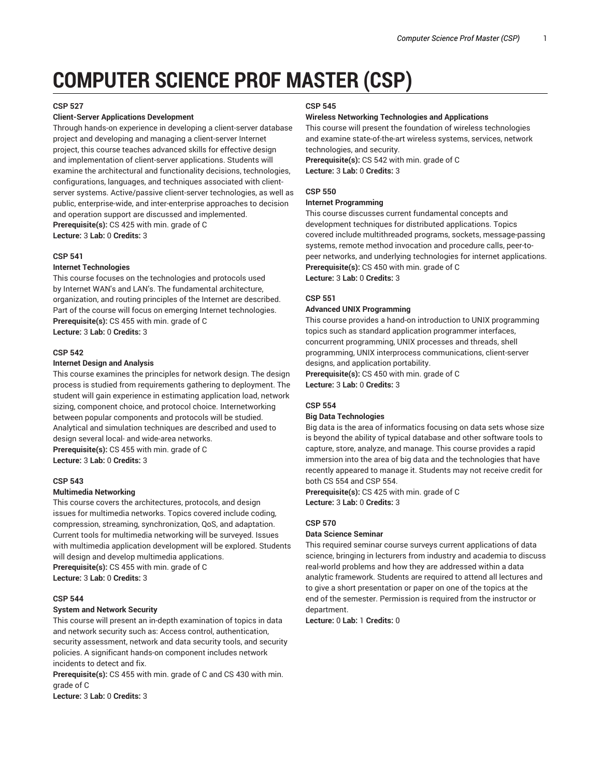# **COMPUTER SCIENCE PROF MASTER (CSP)**

#### **CSP 527**

# **Client-Server Applications Development**

Through hands-on experience in developing a client-server database project and developing and managing a client-server Internet project, this course teaches advanced skills for effective design and implementation of client-server applications. Students will examine the architectural and functionality decisions, technologies, configurations, languages, and techniques associated with clientserver systems. Active/passive client-server technologies, as well as public, enterprise-wide, and inter-enterprise approaches to decision and operation support are discussed and implemented. **Prerequisite(s):** CS 425 with min. grade of C **Lecture:** 3 **Lab:** 0 **Credits:** 3

#### **CSP 541**

#### **Internet Technologies**

This course focuses on the technologies and protocols used by Internet WAN's and LAN's. The fundamental architecture, organization, and routing principles of the Internet are described. Part of the course will focus on emerging Internet technologies. **Prerequisite(s):** CS 455 with min. grade of C **Lecture:** 3 **Lab:** 0 **Credits:** 3

#### **CSP 542**

#### **Internet Design and Analysis**

This course examines the principles for network design. The design process is studied from requirements gathering to deployment. The student will gain experience in estimating application load, network sizing, component choice, and protocol choice. Internetworking between popular components and protocols will be studied. Analytical and simulation techniques are described and used to design several local- and wide-area networks. **Prerequisite(s):** CS 455 with min. grade of C **Lecture:** 3 **Lab:** 0 **Credits:** 3

#### **CSP 543**

#### **Multimedia Networking**

This course covers the architectures, protocols, and design issues for multimedia networks. Topics covered include coding, compression, streaming, synchronization, QoS, and adaptation. Current tools for multimedia networking will be surveyed. Issues with multimedia application development will be explored. Students will design and develop multimedia applications.

**Prerequisite(s):** CS 455 with min. grade of C **Lecture:** 3 **Lab:** 0 **Credits:** 3

# **CSP 544**

# **System and Network Security**

This course will present an in-depth examination of topics in data and network security such as: Access control, authentication, security assessment, network and data security tools, and security policies. A significant hands-on component includes network incidents to detect and fix.

**Prerequisite(s):** CS 455 with min. grade of C and CS 430 with min. grade of C

**Lecture:** 3 **Lab:** 0 **Credits:** 3

# **CSP 545**

# **Wireless Networking Technologies and Applications**

This course will present the foundation of wireless technologies and examine state-of-the-art wireless systems, services, network technologies, and security. **Prerequisite(s):** CS 542 with min. grade of C

**Lecture:** 3 **Lab:** 0 **Credits:** 3

# **CSP 550**

#### **Internet Programming**

This course discusses current fundamental concepts and development techniques for distributed applications. Topics covered include multithreaded programs, sockets, message-passing systems, remote method invocation and procedure calls, peer-topeer networks, and underlying technologies for internet applications. **Prerequisite(s):** CS 450 with min. grade of C **Lecture:** 3 **Lab:** 0 **Credits:** 3

# **CSP 551**

# **Advanced UNIX Programming**

This course provides a hand-on introduction to UNIX programming topics such as standard application programmer interfaces, concurrent programming, UNIX processes and threads, shell programming, UNIX interprocess communications, client-server designs, and application portability.

**Prerequisite(s):** CS 450 with min. grade of C **Lecture:** 3 **Lab:** 0 **Credits:** 3

# **CSP 554**

#### **Big Data Technologies**

Big data is the area of informatics focusing on data sets whose size is beyond the ability of typical database and other software tools to capture, store, analyze, and manage. This course provides a rapid immersion into the area of big data and the technologies that have recently appeared to manage it. Students may not receive credit for both CS 554 and CSP 554.

**Prerequisite(s):** CS 425 with min. grade of C **Lecture:** 3 **Lab:** 0 **Credits:** 3

# **CSP 570**

# **Data Science Seminar**

This required seminar course surveys current applications of data science, bringing in lecturers from industry and academia to discuss real-world problems and how they are addressed within a data analytic framework. Students are required to attend all lectures and to give a short presentation or paper on one of the topics at the end of the semester. Permission is required from the instructor or department.

**Lecture:** 0 **Lab:** 1 **Credits:** 0